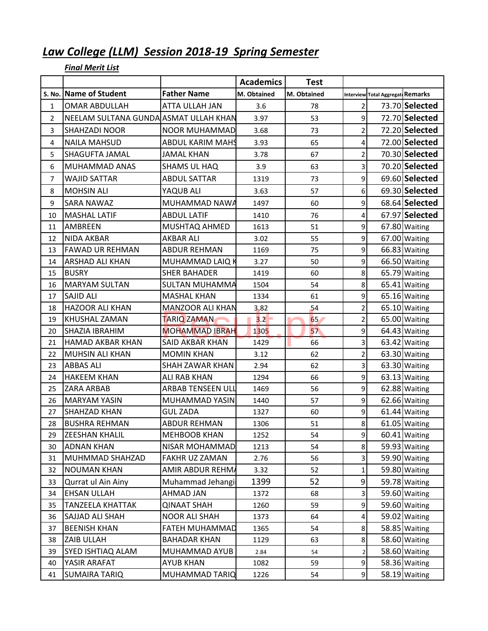### *Law College (LLM) Session 2018-19 Spring Semester*

#### *Final Merit List*

|                |                                       |                          | <b>Academics</b> | <b>Test</b> |                         |                                  |                 |
|----------------|---------------------------------------|--------------------------|------------------|-------------|-------------------------|----------------------------------|-----------------|
| S. No.         | <b>Name of Student</b>                | <b>Father Name</b>       | M. Obtained      | M. Obtained |                         | Interview Total Aggregat Remarks |                 |
| $\mathbf{1}$   | <b>OMAR ABDULLAH</b>                  | ATTA ULLAH JAN           | 3.6              | 78          | $\overline{2}$          |                                  | 73.70 Selected  |
| $\overline{2}$ | NEELAM SULTANA GUNDA ASMAT ULLAH KHAN |                          | 3.97             | 53          | 9                       |                                  | 72.70 Selected  |
| 3              | <b>SHAHZADI NOOR</b>                  | NOOR MUHAMMAD            | 3.68             | 73          | $\overline{2}$          |                                  | 72.20 Selected  |
| 4              | <b>NAILA MAHSUD</b>                   | <b>ABDUL KARIM MAHS</b>  | 3.93             | 65          | $\overline{\mathbf{4}}$ |                                  | 72.00 Selected  |
| 5              | <b>SHAGUFTA JAMAL</b>                 | <b>JAMAL KHAN</b>        | 3.78             | 67          | $\overline{2}$          |                                  | 70.30 Selected  |
| 6              | MUHAMMAD ANAS                         | SHAMS UL HAQ             | 3.9              | 63          | $\overline{\mathbf{3}}$ |                                  | 70.20 Selected  |
| $\overline{7}$ | <b>WAJID SATTAR</b>                   | <b>ABDUL SATTAR</b>      | 1319             | 73          | 9                       |                                  | 69.60 Selected  |
| 8              | <b>MOHSIN ALI</b>                     | YAQUB ALI                | 3.63             | 57          | 6                       |                                  | 69.30 Selected  |
| 9              | <b>SARA NAWAZ</b>                     | MUHAMMAD NAWA            | 1497             | 60          | 9                       |                                  | 68.64 Selected  |
| 10             | <b>MASHAL LATIF</b>                   | <b>ABDUL LATIF</b>       | 1410             | 76          | 4                       |                                  | 67.97 Selected  |
| 11             | <b>AMBREEN</b>                        | MUSHTAQ AHMED            | 1613             | 51          | 9                       |                                  | 67.80 Waiting   |
| 12             | NIDA AKBAR                            | <b>AKBAR ALI</b>         | 3.02             | 55          | 9                       |                                  | 67.00 Waiting   |
| 13             | <b>FAWAD UR REHMAN</b>                | <b>ABDUR REHMAN</b>      | 1169             | 75          | 9                       |                                  | 66.83 Waiting   |
| 14             | <b>ARSHAD ALI KHAN</b>                | MUHAMMAD LAIQ K          | 3.27             | 50          | 9                       |                                  | 66.50 Waiting   |
| 15             | <b>BUSRY</b>                          | <b>SHER BAHADER</b>      | 1419             | 60          | 8                       |                                  | 65.79 Waiting   |
| 16             | <b>MARYAM SULTAN</b>                  | <b>SULTAN MUHAMMA</b>    | 1504             | 54          | 8                       |                                  | 65.41 Waiting   |
| 17             | SAJID ALI                             | <b>MASHAL KHAN</b>       | 1334             | 61          | 9                       |                                  | 65.16 Waiting   |
| 18             | <b>HAZOOR ALI KHAN</b>                | <b>MANZOOR ALI KHAN</b>  | 3.82             | 54          | $\overline{2}$          |                                  | 65.10 Waiting   |
| 19             | KHUSHAL ZAMAN                         | <b>TARIQ ZAMAN</b>       | 3.2              | 65          | $\overline{2}$          |                                  | 65.00 Waiting   |
| 20             | <b>SHAZIA IBRAHIM</b>                 | <b>MOHAMMAD IBRAH</b>    | 1305             | 57          | 9                       |                                  | 64.43 Waiting   |
| 21             | HAMAD AKBAR KHAN                      | <b>SAID AKBAR KHAN</b>   | 1429             | 66          | $\overline{\mathbf{3}}$ |                                  | 63.42 Waiting   |
| 22             | MUHSIN ALI KHAN                       | <b>MOMIN KHAN</b>        | 3.12             | 62          | $\overline{2}$          |                                  | 63.30 Waiting   |
| 23             | <b>ABBAS ALI</b>                      | SHAH ZAWAR KHAN          | 2.94             | 62          | $\overline{\mathbf{3}}$ |                                  | 63.30 Waiting   |
| 24             | <b>HAKEEM KHAN</b>                    | ALI RAB KHAN             | 1294             | 66          | 9                       |                                  | 63.13 Waiting   |
| 25             | ZARA ARBAB                            | <b>ARBAB TENSEEN ULL</b> | 1469             | 56          | 9                       |                                  | 62.88 Waiting   |
| 26             | <b>MARYAM YASIN</b>                   | MUHAMMAD YASIN           | 1440             | 57          | 9                       |                                  | 62.66 Waiting   |
| 27             | <b>SHAHZAD KHAN</b>                   | <b>GUL ZADA</b>          | 1327             | 60          | 9                       |                                  | 61.44 Waiting   |
| 28             | <b>BUSHRA REHMAN</b>                  | <b>ABDUR REHMAN</b>      | 1306             | 51          | 8 <sup>1</sup>          |                                  | 61.05 Waiting   |
| 29             | <b>ZEESHAN KHALIL</b>                 | <b>MEHBOOB KHAN</b>      | 1252             | 54          | 9                       |                                  | $60.41$ Waiting |
| 30             | <b>ADNAN KHAN</b>                     | NISAR MOHAMMAD           | 1213             | 54          | 8 <sup>1</sup>          |                                  | 59.93 Waiting   |
| 31             | MUHMMAD SHAHZAD                       | FAKHR UZ ZAMAN           | 2.76             | 56          | 3                       |                                  | 59.90 Waiting   |
| 32             | <b>NOUMAN KHAN</b>                    | <b>AMIR ABDUR REHM/</b>  | 3.32             | 52          | $\mathbf{1}$            |                                  | 59.80 Waiting   |
| 33             | Qurrat ul Ain Ainy                    | Muhammad Jehangi         | 1399             | 52          | 9                       |                                  | 59.78 Waiting   |
| 34             | <b>EHSAN ULLAH</b>                    | AHMAD JAN                | 1372             | 68          | 3                       |                                  | 59.60 Waiting   |
| 35             | <b>TANZEELA KHATTAK</b>               | <b>QINAAT SHAH</b>       | 1260             | 59          | 9                       |                                  | 59.60 Waiting   |
| 36             | SAJJAD ALI SHAH                       | <b>NOOR ALI SHAH</b>     | 1373             | 64          | 4                       |                                  | 59.02 Waiting   |
| 37             | <b>BEENISH KHAN</b>                   | FATEH MUHAMMAD           | 1365             | 54          | 8                       |                                  | 58.85 Waiting   |
| 38             | ZAIB ULLAH                            | <b>BAHADAR KHAN</b>      | 1129             | 63          | 8                       |                                  | 58.60 Waiting   |
| 39             | SYED ISHTIAQ ALAM                     | MUHAMMAD AYUB            | 2.84             | 54          | 2                       |                                  | 58.60 Waiting   |
| 40             | YASIR ARAFAT                          | <b>AYUB KHAN</b>         | 1082             | 59          | 9                       |                                  | 58.36 Waiting   |
| 41             | <b>SUMAIRA TARIQ</b>                  | MUHAMMAD TARIQ           | 1226             | 54          | $\overline{9}$          |                                  | 58.19 Waiting   |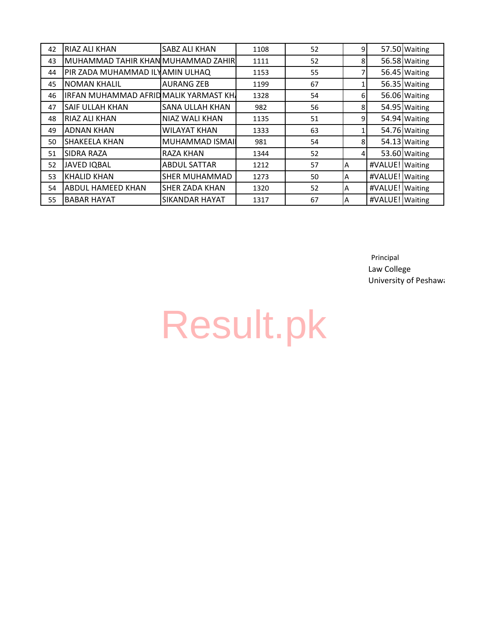| 42 | <b>RIAZ ALI KHAN</b>                   | SABZ ALI KHAN         | 1108 | 52 | 9  |                   | 57.50 Waiting |
|----|----------------------------------------|-----------------------|------|----|----|-------------------|---------------|
| 43 | MUHAMMAD TAHIR KHAN MUHAMMAD ZAHIR     |                       | 1111 | 52 | 8  |                   | 56.58 Waiting |
| 44 | PIR ZADA MUHAMMAD ILYAMIN ULHAQ        |                       | 1153 | 55 |    |                   | 56.45 Waiting |
| 45 | <b>NOMAN KHALIL</b>                    | <b>AURANG ZEB</b>     | 1199 | 67 |    |                   | 56.35 Waiting |
| 46 | IRFAN MUHAMMAD AFRID MALIK YARMAST KH. |                       | 1328 | 54 | 6  |                   | 56.06 Waiting |
| 47 | <b>SAIF ULLAH KHAN</b>                 | SANA ULLAH KHAN       | 982  | 56 | 8  |                   | 54.95 Waiting |
| 48 | <b>RIAZ ALI KHAN</b>                   | NIAZ WALI KHAN        | 1135 | 51 | 9  |                   | 54.94 Waiting |
| 49 | <b>ADNAN KHAN</b>                      | <b>WILAYAT KHAN</b>   | 1333 | 63 |    |                   | 54.76 Waiting |
| 50 | <b>SHAKEELA KHAN</b>                   | MUHAMMAD ISMAII       | 981  | 54 | 8  |                   | 54.13 Waiting |
| 51 | <b>SIDRA RAZA</b>                      | <b>RAZA KHAN</b>      | 1344 | 52 | 4  |                   | 53.60 Waiting |
| 52 | <b>JAVED IQBAL</b>                     | <b>ABDUL SATTAR</b>   | 1212 | 57 | A  | #VALUE! Waiting   |               |
| 53 | KHALID KHAN                            | SHER MUHAMMAD         | 1273 | 50 | A  | #VALUE! Waiting   |               |
| 54 | <b>ABDUL HAMEED KHAN</b>               | SHER ZADA KHAN        | 1320 | 52 | ΙA | #VALUE! Waiting   |               |
| 55 | <b>BABAR HAYAT</b>                     | <b>SIKANDAR HAYAT</b> | 1317 | 67 | ΙA | #VALUE!   Waiting |               |

Principal Law College University of Peshawa

# [Result.pk](http://www.result.pk/)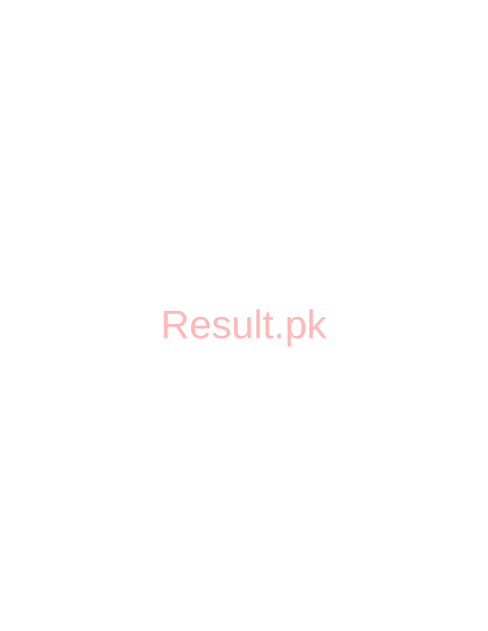# [Result.pk](http://www.result.pk/)